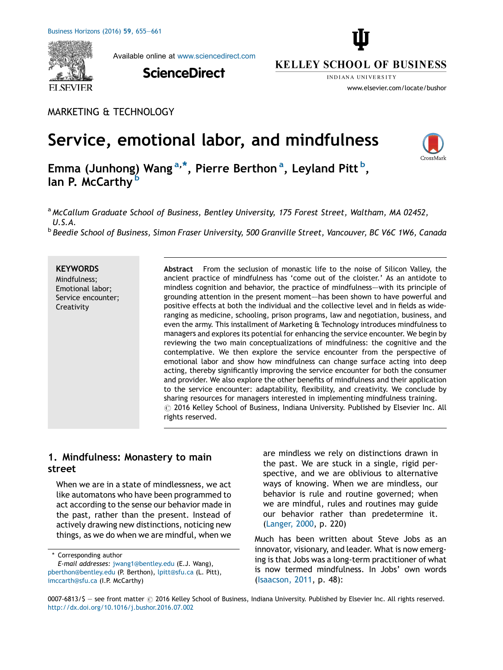

Available online at [www.sciencedirect.com](http://www.sciencedirect.com/science/journal/00076813)

**ScienceDirect** 



**INDIANA HNIVERSITY** 

www.elsevier.com/locate/bushor

MARKETING & TECHNOLOGY

# Service, emotional labor, and mindfulness



Emma (Junhong) Wang<sup>a,\*</sup>, Pierre Berthon<sup>a</sup>, Leyland Pitt<sup>b</sup>, lan P. McCarthy<sup>b</sup>

a McCallum Graduate School of Business, Bentley University, 175 Forest Street, Waltham, MA 02452, U.S.A.

**b Beedie School of Business, Simon Fraser University, 500 Granville Street, Vancouver, BC V6C 1W6, Canada** 

**KEYWORDS** Mindfulness; Emotional labor; Service encounter; Creativity

Abstract From the seclusion of monastic life to the noise of Silicon Valley, the ancient practice of mindfulness has 'come out of the cloister.' As an antidote to mindless cognition and behavior, the practice of mindfulness–—with its principle of grounding attention in the present moment–—has been shown to have powerful and positive effects at both the individual and the collective level and in fields as wideranging as medicine, schooling, prison programs, law and negotiation, business, and even the army. This installment of Marketing & Technology introduces mindfulness to managers and explores its potential for enhancing the service encounter. We begin by reviewing the two main conceptualizations of mindfulness: the cognitive and the contemplative. We then explore the service encounter from the perspective of emotional labor and show how mindfulness can change surface acting into deep acting, thereby significantly improving the service encounter for both the consumer and provider. We also explore the other benefits of mindfulness and their application to the service encounter: adaptability, flexibility, and creativity. We conclude by sharing resources for managers interested in implementing mindfulness training.  $\circledcirc$  2016 Kelley School of Business, Indiana University. Published by Elsevier Inc. All rights reserved.

# 1. Mindfulness: Monastery to main street

When we are in a state of mindlessness, we act like automatons who have been programmed to act according to the sense our behavior made in the past, rather than the present. Instead of actively drawing new distinctions, noticing new things, as we do when we are mindful, when we

\* Corresponding author

E-mail addresses: [jwang1@bentley.edu](mailto:jwang1@bentley.edu) (E.J. Wang), [pberthon@bentley.edu](mailto:pberthon@bentley.edu) (P. Berthon), [lpitt@sfu.ca](mailto:lpitt@sfu.ca) (L. Pitt), [imccarth@sfu.ca](mailto:imccarth@sfu.ca) (I.P. McCarthy)

are mindless we rely on distinctions drawn in the past. We are stuck in a single, rigid perspective, and we are oblivious to alternative ways of knowing. When we are mindless, our behavior is rule and routine governed; when we are mindful, rules and routines may guide our behavior rather than predetermine it. [\(Langer,](#page-6-0) 2000, p. 220)

Much has been written about Steve Jobs as an innovator, visionary, and leader. What is now emerging is that Jobs was a long-term practitioner of what is now termed mindfulness. In Jobs' own words [\(Isaacson,](#page-6-0) 2011, p. 48):

<sup>0007-6813/\$ -</sup> see front matter @ 2016 Kelley School of Business, Indiana University. Published by Elsevier Inc. All rights reserved. <http://dx.doi.org/10.1016/j.bushor.2016.07.002>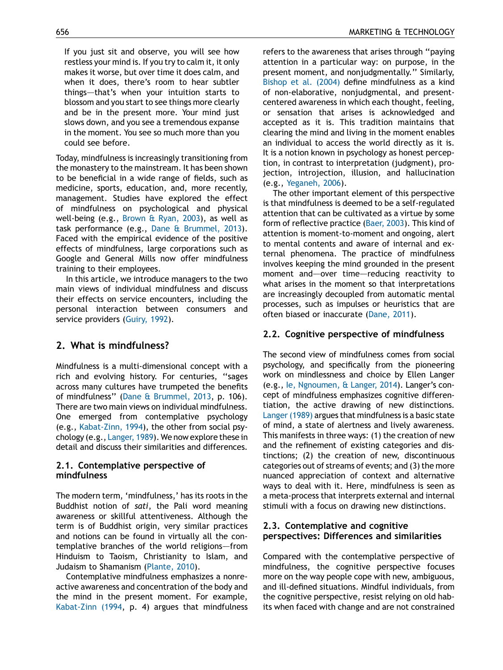If you just sit and observe, you will see how restless your mind is. If you try to calm it, it only makes it worse, but over time it does calm, and when it does, there's room to hear subtler things–—that's when your intuition starts to blossom and you start to see things more clearly and be in the present more. Your mind just slows down, and you see a tremendous expanse in the moment. You see so much more than you could see before.

Today, mindfulness is increasingly transitioning from the monastery to the mainstream. It has been shown to be beneficial in a wide range of fields, such as medicine, sports, education, and, more recently, management. Studies have explored the effect of mindfulness on psychological and physical well-being (e.g., [Brown](#page-6-0) & Ryan, 2003), as well as task performance (e.g., Dane & [Brummel,](#page-6-0) 2013). Faced with the empirical evidence of the positive effects of mindfulness, large corporations such as Google and General Mills now offer mindfulness training to their employees.

In this article, we introduce managers to the two main views of individual mindfulness and discuss their effects on service encounters, including the personal interaction between consumers and service providers ([Guiry,](#page-6-0) 1992).

# 2. What is mindfulness?

Mindfulness is a multi-dimensional concept with a rich and evolving history. For centuries, ''sages across many cultures have trumpeted the benefits of mindfulness'' (Dane & [Brummel,](#page-6-0) 2013, p. 106). There are two main views on individual mindfulness. One emerged from contemplative psychology (e.g., [Kabat-Zinn,](#page-6-0) 1994), the other from social psychology (e.g., [Langer,](#page-6-0) 1989). We now explore these in detail and discuss their similarities and differences.

### 2.1. Contemplative perspective of mindfulness

The modern term, 'mindfulness,' has its roots in the Buddhist notion of sati, the Pali word meaning awareness or skillful attentiveness. Although the term is of Buddhist origin, very similar practices and notions can be found in virtually all the contemplative branches of the world religions–—from Hinduism to Taoism, Christianity to Islam, and Judaism to Shamanism [\(Plante,](#page-6-0) 2010).

Contemplative mindfulness emphasizes a nonreactive awareness and concentration of the body and the mind in the present moment. For example, [Kabat-Zinn](#page-6-0) (1994, p. 4) argues that mindfulness refers to the awareness that arises through ''paying attention in a particular way: on purpose, in the present moment, and nonjudgmentally.'' Similarly, [Bishop](#page-6-0) et al. (2004) define mindfulness as a kind of non-elaborative, nonjudgmental, and presentcentered awareness in which each thought, feeling, or sensation that arises is acknowledged and accepted as it is. This tradition maintains that clearing the mind and living in the moment enables an individual to access the world directly as it is. It is a notion known in psychology as honest perception, in contrast to interpretation (judgment), projection, introjection, illusion, and hallucination (e.g., [Yeganeh,](#page-6-0) 2006).

The other important element of this perspective is that mindfulness is deemed to be a self-regulated attention that can be cultivated as a virtue by some form of reflective practice [\(Baer,](#page-6-0) 2003). This kind of attention is moment-to-moment and ongoing, alert to mental contents and aware of internal and external phenomena. The practice of mindfulness involves keeping the mind grounded in the present moment and—over time—reducing reactivity to what arises in the moment so that interpretations are increasingly decoupled from automatic mental processes, such as impulses or heuristics that are often biased or inaccurate ([Dane,](#page-6-0) 2011).

## 2.2. Cognitive perspective of mindfulness

The second view of mindfulness comes from social psychology, and specifically from the pioneering work on mindlessness and choice by Ellen Langer (e.g., Ie, [Ngnoumen,](#page-6-0) & Langer, 2014). Langer's concept of mindfulness emphasizes cognitive differentiation, the active drawing of new distinctions. Langer (1989) argues that mindfulness is a basic state of mind, a state of alertness and lively awareness. This manifests in three ways: (1) the creation of new and the refinement of existing categories and distinctions; (2) the creation of new, discontinuous categories out of streams of events; and (3) the more nuanced appreciation of context and alternative ways to deal with it. Here, mindfulness is seen as a meta-process that interprets external and internal stimuli with a focus on drawing new distinctions.

## 2.3. Contemplative and cognitive perspectives: Differences and similarities

Compared with the contemplative perspective of mindfulness, the cognitive perspective focuses more on the way people cope with new, ambiguous, and ill-defined situations. Mindful individuals, from the cognitive perspective, resist relying on old habits when faced with change and are not constrained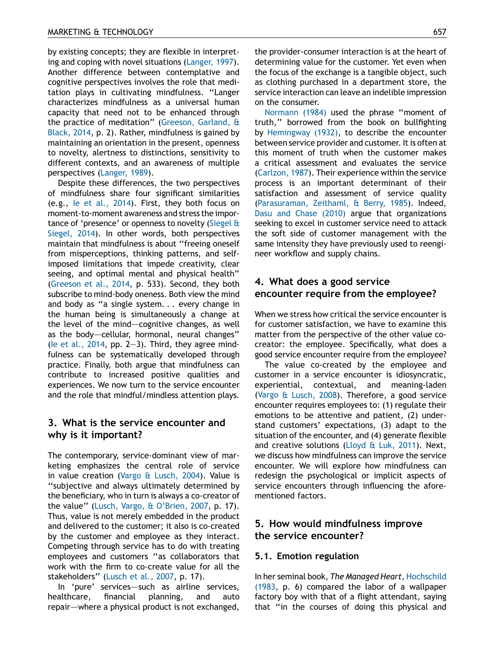by existing concepts; they are flexible in interpreting and coping with novel situations ([Langer,](#page-6-0) 1997). Another difference between contemplative and cognitive perspectives involves the role that meditation plays in cultivating mindfulness. ''Langer characterizes mindfulness as a universal human capacity that need not to be enhanced through the practice of meditation'' [\(Greeson,](#page-6-0) Garland, & [Black,](#page-6-0) 2014, p. 2). Rather, mindfulness is gained by maintaining an orientation in the present, openness to novelty, alertness to distinctions, sensitivity to different contexts, and an awareness of multiple perspectives [\(Langer,](#page-6-0) 1989).

Despite these differences, the two perspectives of mindfulness share four significant similarities (e.g., Ie et al., [2014\)](#page-6-0). First, they both focus on moment-to-moment awareness and stress the importance of 'presence' or openness to novelty [\(Siegel](#page-6-0) & [Siegel,](#page-6-0) 2014). In other words, both perspectives maintain that mindfulness is about ''freeing oneself from misperceptions, thinking patterns, and selfimposed limitations that impede creativity, clear seeing, and optimal mental and physical health'' [\(Greeson](#page-6-0) et al., 2014, p. 533). Second, they both subscribe to mind-body oneness. Both view the mind and body as ''a single system. . . every change in the human being is simultaneously a change at the level of the mind–cognitive changes, as well as the body-cellular, hormonal, neural changes" (le et al., [2014,](#page-6-0) pp. 2–3). Third, they agree mindfulness can be systematically developed through practice. Finally, both argue that mindfulness can contribute to increased positive qualities and experiences. We now turn to the service encounter and the role that mindful/mindless attention plays.

# 3. What is the service encounter and why is it important?

The contemporary, service-dominant view of marketing emphasizes the central role of service in value creation (Vargo & [Lusch,](#page-6-0) 2004). Value is ''subjective and always ultimately determined by the beneficiary, who in turn is always a co-creator of the value'' (Lusch, Vargo, & [O'Brien,](#page-6-0) 2007, p. 17). Thus, value is not merely embedded in the product and delivered to the customer; it also is co-created by the customer and employee as they interact. Competing through service has to do with treating employees and customers ''as collaborators that work with the firm to co-create value for all the stakeholders'' ([Lusch](#page-6-0) et al., 2007, p. 17).

In 'pure' services–—such as airline services, healthcare, financial planning, and auto repair–—where a physical product is not exchanged, the provider-consumer interaction is at the heart of determining value for the customer. Yet even when the focus of the exchange is a tangible object, such as clothing purchased in a department store, the service interaction can leave an indelible impression on the consumer.

[Normann](#page-6-0) (1984) used the phrase ''moment of truth,'' borrowed from the book on bullfighting by [Hemingway](#page-6-0) (1932), to describe the encounter between service provider and customer. It is often at this moment of truth when the customer makes a critical assessment and evaluates the service [\(Carlzon,](#page-6-0) 1987). Their experience within the service process is an important determinant of their satisfaction and assessment of service quality [\(Parasuraman,](#page-6-0) Zeithaml, & Berry, 1985). Indeed, Dasu and Chase [\(2010\)](#page-6-0) argue that organizations seeking to excel in customer service need to attack the soft side of customer management with the same intensity they have previously used to reengineer workflow and supply chains.

# 4. What does a good service encounter require from the employee?

When we stress how critical the service encounter is for customer satisfaction, we have to examine this matter from the perspective of the other value cocreator: the employee. Specifically, what does a good service encounter require from the employee?

The value co-created by the employee and customer in a service encounter is idiosyncratic, experiential, contextual, and meaning-laden (Vargo & [Lusch,](#page-6-0) 2008). Therefore, a good service encounter requires employees to: (1) regulate their emotions to be attentive and patient, (2) understand customers' expectations, (3) adapt to the situation of the encounter, and (4) generate flexible and creative solutions ([Lloyd](#page-6-0) & Luk, 2011). Next, we discuss how mindfulness can improve the service encounter. We will explore how mindfulness can redesign the psychological or implicit aspects of service encounters through influencing the aforementioned factors.

# 5. How would mindfulness improve the service encounter?

#### 5.1. Emotion regulation

In her seminal book, The Managed Heart, [Hochschild](#page-6-0) [\(1983](#page-6-0), p. 6) compared the labor of a wallpaper factory boy with that of a flight attendant, saying that ''in the courses of doing this physical and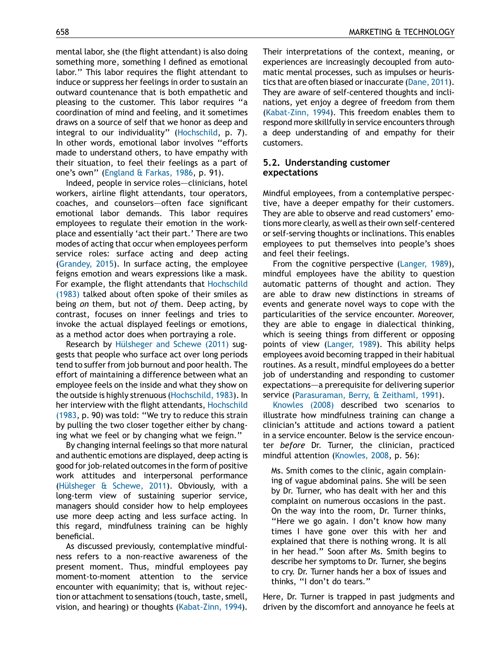mental labor, she (the flight attendant) is also doing something more, something I defined as emotional labor.'' This labor requires the flight attendant to induce or suppress her feelings in order to sustain an outward countenance that is both empathetic and pleasing to the customer. This labor requires ''a coordination of mind and feeling, and it sometimes draws on a source of self that we honor as deep and integral to our individuality'' [\(Hochschild,](#page-6-0) p. 7). In other words, emotional labor involves ''efforts made to understand others, to have empathy with their situation, to feel their feelings as a part of one's own'' [\(England](#page-6-0) & Farkas, 1986, p. 91).

Indeed, people in service roles--clinicians, hotel workers, airline flight attendants, tour operators, coaches, and counselors–—often face significant emotional labor demands. This labor requires employees to regulate their emotion in the workplace and essentially 'act their part.' There are two modes of acting that occur when employees perform service roles: surface acting and deep acting ([Grandey,](#page-6-0) 2015). In surface acting, the employee feigns emotion and wears expressions like a mask. For example, the flight attendants that [Hochschild](#page-6-0) [\(1983\)](#page-6-0) talked about often spoke of their smiles as being on them, but not of them. Deep acting, by contrast, focuses on inner feelings and tries to invoke the actual displayed feelings or emotions, as a method actor does when portraying a role.

Research by Hülsheger and Schewe (2011) suggests that people who surface act over long periods tend to suffer from job burnout and poor health. The effort of maintaining a difference between what an employee feels on the inside and what they show on the outside is highly strenuous[\(Hochschild,](#page-6-0) 1983). In her interview with the flight attendants, [Hochschild](#page-6-0) [\(1983,](#page-6-0) p. 90) was told: ''We try to reduce this strain by pulling the two closer together either by changing what we feel or by changing what we feign.''

By changing internal feelings so that more natural and authentic emotions are displayed, deep acting is good for job-related outcomes in the form of positive work attitudes and interpersonal performance (Hülsheger  $\&$  Schewe, 2011). Obviously, with a long-term view of sustaining superior service, managers should consider how to help employees use more deep acting and less surface acting. In this regard, mindfulness training can be highly beneficial.

As discussed previously, contemplative mindfulness refers to a non-reactive awareness of the present moment. Thus, mindful employees pay moment-to-moment attention to the service encounter with equanimity; that is, without rejection or attachment to sensations (touch, taste, smell, vision, and hearing) or thoughts ([Kabat-Zinn,](#page-6-0) 1994).

Their interpretations of the context, meaning, or experiences are increasingly decoupled from automatic mental processes, such as impulses or heuris-tics that are often biased or inaccurate [\(Dane,](#page-6-0) 2011). They are aware of self-centered thoughts and inclinations, yet enjoy a degree of freedom from them [\(Kabat-Zinn,](#page-6-0) 1994). This freedom enables them to respond more skillfully in service encounters through a deep understanding of and empathy for their customers.

#### 5.2. Understanding customer expectations

Mindful employees, from a contemplative perspective, have a deeper empathy for their customers. They are able to observe and read customers' emotions more clearly, as well astheir own self-centered or self-serving thoughts or inclinations. This enables employees to put themselves into people's shoes and feel their feelings.

From the cognitive perspective ([Langer,](#page-6-0) 1989), mindful employees have the ability to question automatic patterns of thought and action. They are able to draw new distinctions in streams of events and generate novel ways to cope with the particularities of the service encounter. Moreover, they are able to engage in dialectical thinking, which is seeing things from different or opposing points of view ([Langer,](#page-6-0) 1989). This ability helps employees avoid becoming trapped in their habitual routines. As a result, mindful employees do a better job of understanding and responding to customer expectations–—a prerequisite for delivering superior service ([Parasuraman,](#page-6-0) Berry, & Zeithaml, 1991).

[Knowles](#page-6-0) (2008) described two scenarios to illustrate how mindfulness training can change a clinician's attitude and actions toward a patient in a service encounter. Below is the service encounter before Dr. Turner, the clinician, practiced mindful attention ([Knowles,](#page-6-0) 2008, p. 56):

Ms. Smith comes to the clinic, again complaining of vague abdominal pains. She will be seen by Dr. Turner, who has dealt with her and this complaint on numerous occasions in the past. On the way into the room, Dr. Turner thinks, "Here we go again. I don't know how many times I have gone over this with her and explained that there is nothing wrong. It is all in her head.'' Soon after Ms. Smith begins to describe her symptoms to Dr. Turner, she begins to cry. Dr. Turner hands her a box of issues and thinks, ''I don't do tears.''

Here, Dr. Turner is trapped in past judgments and driven by the discomfort and annoyance he feels at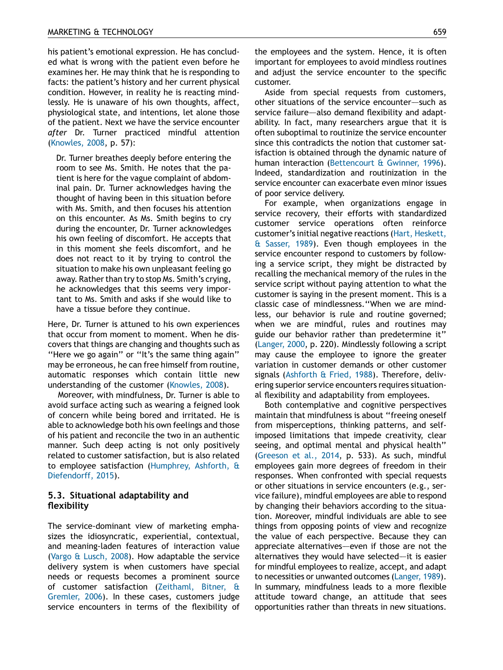his patient's emotional expression. He has concluded what is wrong with the patient even before he examines her. He may think that he is responding to facts: the patient's history and her current physical condition. However, in reality he is reacting mindlessly. He is unaware of his own thoughts, affect, physiological state, and intentions, let alone those of the patient. Next we have the service encounter after Dr. Turner practiced mindful attention [\(Knowles,](#page-6-0) 2008, p. 57):

Dr. Turner breathes deeply before entering the room to see Ms. Smith. He notes that the patient is here for the vague complaint of abdominal pain. Dr. Turner acknowledges having the thought of having been in this situation before with Ms. Smith, and then focuses his attention on this encounter. As Ms. Smith begins to cry during the encounter, Dr. Turner acknowledges his own feeling of discomfort. He accepts that in this moment she feels discomfort, and he does not react to it by trying to control the situation to make his own unpleasant feeling go away. Rather than try to stop Ms. Smith's crying, he acknowledges that this seems very important to Ms. Smith and asks if she would like to have a tissue before they continue.

Here, Dr. Turner is attuned to his own experiences that occur from moment to moment. When he discovers that things are changing and thoughts such as ''Here we go again'' or ''It's the same thing again'' may be erroneous, he can free himself from routine, automatic responses which contain little new understanding of the customer [\(Knowles,](#page-6-0) 2008).

Moreover, with mindfulness, Dr. Turner is able to avoid surface acting such as wearing a feigned look of concern while being bored and irritated. He is able to acknowledge both his own feelings and those of his patient and reconcile the two in an authentic manner. Such deep acting is not only positively related to customer satisfaction, but is also related to employee satisfaction [\(Humphrey,](#page-6-0) Ashforth, & [Diefendorff,](#page-6-0) 2015).

#### 5.3. Situational adaptability and flexibility

The service-dominant view of marketing emphasizes the idiosyncratic, experiential, contextual, and meaning-laden features of interaction value (Vargo & [Lusch,](#page-6-0) 2008). How adaptable the service delivery system is when customers have special needs or requests becomes a prominent source of customer satisfaction [\(Zeithaml,](#page-6-0) Bitner, & [Gremler,](#page-6-0) 2006). In these cases, customers judge service encounters in terms of the flexibility of the employees and the system. Hence, it is often important for employees to avoid mindless routines and adjust the service encounter to the specific customer.

Aside from special requests from customers, other situations of the service encounter–—such as service failure—also demand flexibility and adaptability. In fact, many researchers argue that it is often suboptimal to routinize the service encounter since this contradicts the notion that customer satisfaction is obtained through the dynamic nature of human interaction [\(Bettencourt](#page-6-0) & Gwinner, 1996). Indeed, standardization and routinization in the service encounter can exacerbate even minor issues of poor service delivery.

For example, when organizations engage in service recovery, their efforts with standardized customer service operations often reinforce customer's initial negative reactions (Hart, [Heskett,](#page-6-0) & [Sasser,](#page-6-0) 1989). Even though employees in the service encounter respond to customers by following a service script, they might be distracted by recalling the mechanical memory of the rules in the service script without paying attention to what the customer is saying in the present moment. This is a classic case of mindlessness.''When we are mindless, our behavior is rule and routine governed; when we are mindful, rules and routines may guide our behavior rather than predetermine it'' [\(Langer,](#page-6-0) 2000, p. 220). Mindlessly following a script may cause the employee to ignore the greater variation in customer demands or other customer signals [\(Ashforth](#page-6-0) & Fried, 1988). Therefore, delivering superior service encounters requires situational flexibility and adaptability from employees.

Both contemplative and cognitive perspectives maintain that mindfulness is about ''freeing oneself from misperceptions, thinking patterns, and selfimposed limitations that impede creativity, clear seeing, and optimal mental and physical health'' [\(Greeson](#page-6-0) et al., 2014, p. 533). As such, mindful employees gain more degrees of freedom in their responses. When confronted with special requests or other situations in service encounters (e.g., service failure), mindful employees are able to respond by changing their behaviors according to the situation. Moreover, mindful individuals are able to see things from opposing points of view and recognize the value of each perspective. Because they can appreciate alternatives—even if those are not the alternatives they would have selected-it is easier for mindful employees to realize, accept, and adapt to necessities or unwanted outcomes [\(Langer,](#page-6-0) 1989). In summary, mindfulness leads to a more flexible attitude toward change, an attitude that sees opportunities rather than threats in new situations.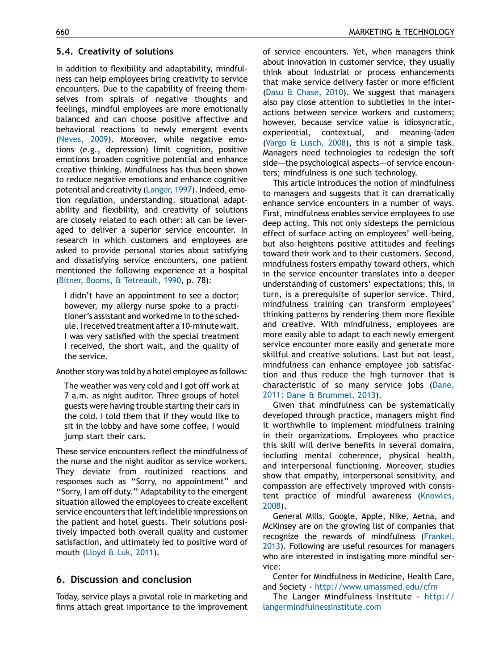#### 5.4. Creativity of solutions

In addition to flexibility and adaptability, mindfulness can help employees bring creativity to service encounters. Due to the capability of freeing themselves from spirals of negative thoughts and feelings, mindful employees are more emotionally balanced and can choose positive affective and behavioral reactions to newly emergent events ([Neves,](#page-6-0) 2009). Moreover, while negative emotions (e.g., depression) limit cognition, positive emotions broaden cognitive potential and enhance creative thinking. Mindfulness has thus been shown to reduce negative emotions and enhance cognitive potential and creativity [\(Langer,](#page-6-0) 1997). Indeed, emotion regulation, understanding, situational adaptability and flexibility, and creativity of solutions are closely related to each other: all can be leveraged to deliver a superior service encounter. In research in which customers and employees are asked to provide personal stories about satisfying and dissatisfying service encounters, one patient mentioned the following experience at a hospital (Bitner, Booms, & [Tetreault,](#page-6-0) 1990, p. 78):

I didn't have an appointment to see a doctor; however, my allergy nurse spoke to a practitioner's assistant and worked me in to the schedule.Ireceived treatment after a 10-minutewait. I was very satisfied with the special treatment I received, the short wait, and the quality of the service.

Another story was told by a hotel employee as follows:

The weather was very cold and I got off work at 7 a.m. as night auditor. Three groups of hotel guests were having trouble starting their cars in the cold. I told them that if they would like to sit in the lobby and have some coffee, I would jump start their cars.

These service encounters reflect the mindfulness of the nurse and the night auditor as service workers. They deviate from routinized reactions and responses such as ''Sorry, no appointment'' and ''Sorry, I am off duty.'' Adaptability to the emergent situation allowed the employees to create excellent service encounters that left indelible impressions on the patient and hotel guests. Their solutions positively impacted both overall quality and customer satisfaction, and ultimately led to positive word of mouth ([Lloyd](#page-6-0) & Luk, 2011).

## 6. Discussion and conclusion

Today, service plays a pivotal role in marketing and firms attach great importance to the improvement of service encounters. Yet, when managers think about innovation in customer service, they usually think about industrial or process enhancements that make service delivery faster or more efficient (Dasu & [Chase,](#page-6-0) 2010). We suggest that managers also pay close attention to subtleties in the interactions between service workers and customers; however, because service value is idiosyncratic, experiential, contextual, and meaning-laden (Vargo & [Lusch,](#page-6-0) 2008), this is not a simple task. Managers need technologies to redesign the soft side—the psychological aspects—of service encounters; mindfulness is one such technology.

This article introduces the notion of mindfulness to managers and suggests that it can dramatically enhance service encounters in a number of ways. First, mindfulness enables service employees to use deep acting. This not only sidesteps the pernicious effect of surface acting on employees' well-being, but also heightens positive attitudes and feelings toward their work and to their customers. Second, mindfulness fosters empathy toward others, which in the service encounter translates into a deeper understanding of customers' expectations; this, in turn, is a prerequisite of superior service. Third, mindfulness training can transform employees' thinking patterns by rendering them more flexible and creative. With mindfulness, employees are more easily able to adapt to each newly emergent service encounter more easily and generate more skillful and creative solutions. Last but not least, mindfulness can enhance employee job satisfaction and thus reduce the high turnover that is characteristic of so many service jobs [\(Dane,](#page-6-0) 2011; Dane & [Brummel,](#page-6-0) 2013).

Given that mindfulness can be systematically developed through practice, managers might find it worthwhile to implement mindfulness training in their organizations. Employees who practice this skill will derive benefits in several domains, including mental coherence, physical health, and interpersonal functioning. Moreover, studies show that empathy, interpersonal sensitivity, and compassion are effectively improved with consistent practice of mindful awareness [\(Knowles,](#page-6-0) [2008\)](#page-6-0).

General Mills, Google, Apple, Nike, Aetna, and McKinsey are on the growing list of companies that recognize the rewards of mindfulness [\(Frankel,](#page-6-0) [2013\)](#page-6-0). Following are useful resources for managers who are interested in instigating more mindful service:

Center for Mindfulness in Medicine, Health Care, and Society - <http://www.umassmed.edu/cfm>

The Langer Mindfulness Institute - [http://](http://langermindfulnessinstitute.com/) [langermindfulnessinstitute.com](http://langermindfulnessinstitute.com/)